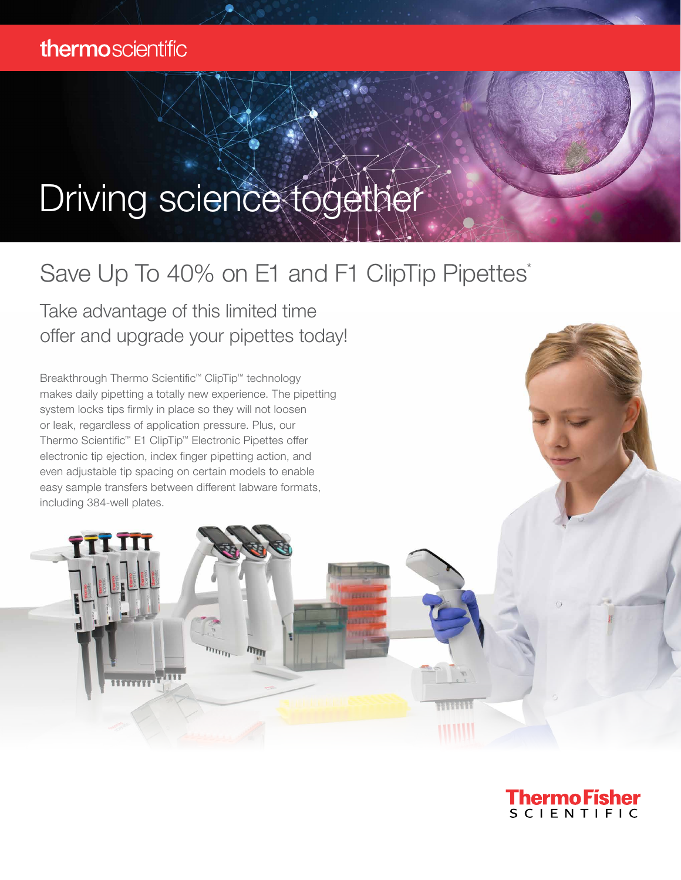## Driving science together

## Save Up To 40% on E1 and F1 ClipTip Pipettes\*

**ITTTT** 

Take advantage of this limited time offer and upgrade your pipettes today!

Breakthrough Thermo Scientific™ ClipTip™ technology makes daily pipetting a totally new experience. The pipetting system locks tips firmly in place so they will not loosen or leak, regardless of application pressure. Plus, our Thermo Scientific™ E1 ClipTip™ Electronic Pipettes offer electronic tip ejection, index finger pipetting action, and even adjustable tip spacing on certain models to enable easy sample transfers between different labware formats, including 384-well plates.



**HIMIN**